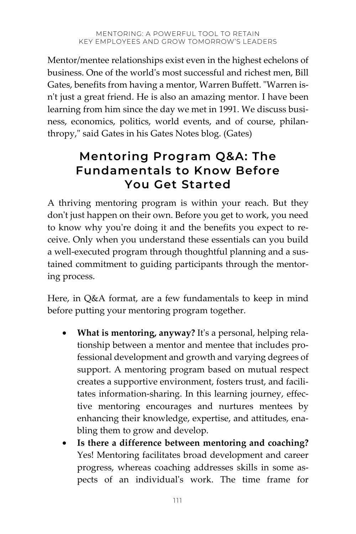Mentor/mentee relationships exist even in the highest echelons of business. One of the world's most successful and richest men, Bill Gates, benefits from having a mentor, Warren Buffett. "Warren isn't just a great friend. He is also an amazing mentor. I have been learning from him since the day we met in 1991. We discuss business, economics, politics, world events, and of course, philanthropy," said Gates in his Gates Notes blog. (Gates)

# **Mentoring Program Q&A: The Fundamentals to Know Before You Get Started**

A thriving mentoring program is within your reach. But they don't just happen on their own. Before you get to work, you need to know why you're doing it and the benefits you expect to receive. Only when you understand these essentials can you build a well-executed program through thoughtful planning and a sustained commitment to guiding participants through the mentoring process.

Here, in Q&A format, are a few fundamentals to keep in mind before putting your mentoring program together.

- **What is mentoring, anyway?** It's a personal, helping relationship between a mentor and mentee that includes professional development and growth and varying degrees of support. A mentoring program based on mutual respect creates a supportive environment, fosters trust, and facilitates information-sharing. In this learning journey, effective mentoring encourages and nurtures mentees by enhancing their knowledge, expertise, and attitudes, enabling them to grow and develop.
- **Is there a difference between mentoring and coaching?** Yes! Mentoring facilitates broad development and career progress, whereas coaching addresses skills in some aspects of an individual's work. The time frame for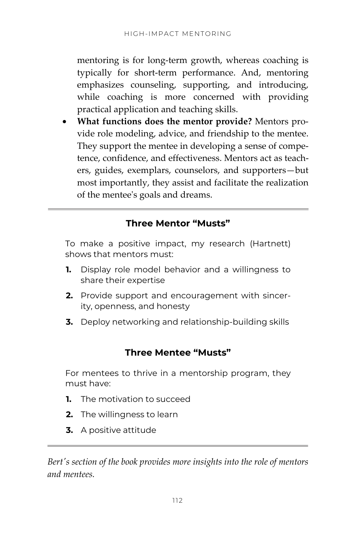mentoring is for long-term growth, whereas coaching is typically for short-term performance. And, mentoring emphasizes counseling, supporting, and introducing, while coaching is more concerned with providing practical application and teaching skills.

• **What functions does the mentor provide?** Mentors provide role modeling, advice, and friendship to the mentee. They support the mentee in developing a sense of competence, confidence, and effectiveness. Mentors act as teachers, guides, exemplars, counselors, and supporters—but most importantly, they assist and facilitate the realization of the mentee's goals and dreams.

## **Three Mentor "Musts"**

To make a positive impact, my research (Hartnett) shows that mentors must:

- **1.** Display role model behavior and a willingness to share their expertise
- **2.** Provide support and encouragement with sincerity, openness, and honesty
- **3.** Deploy networking and relationship-building skills

# **Three Mentee "Musts"**

For mentees to thrive in a mentorship program, they must have:

- **1.** The motivation to succeed
- **2.** The willingness to learn
- **3.** A positive attitude

*Bert's section of the book provides more insights into the role of mentors and mentees.*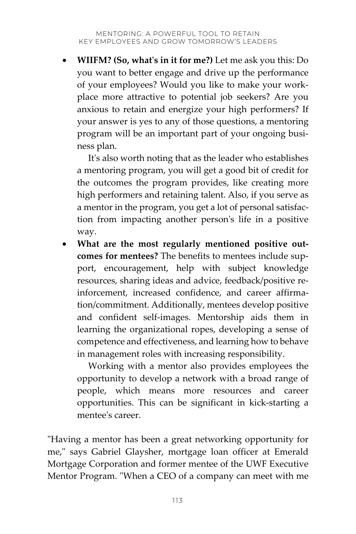• **WIIFM? (So, what's in it for me?)** Let me ask you this: Do you want to better engage and drive up the performance of your employees? Would you like to make your workplace more attractive to potential job seekers? Are you anxious to retain and energize your high performers? If your answer is yes to any of those questions, a mentoring program will be an important part of your ongoing business plan.

It's also worth noting that as the leader who establishes a mentoring program, you will get a good bit of credit for the outcomes the program provides, like creating more high performers and retaining talent. Also, if you serve as a mentor in the program, you get a lot of personal satisfaction from impacting another person's life in a positive way.

• **What are the most regularly mentioned positive outcomes for mentees?** The benefits to mentees include support, encouragement, help with subject knowledge resources, sharing ideas and advice, feedback/positive reinforcement, increased confidence, and career affirmation/commitment. Additionally, mentees develop positive and confident self-images. Mentorship aids them in learning the organizational ropes, developing a sense of competence and effectiveness, and learning how to behave in management roles with increasing responsibility.

Working with a mentor also provides employees the opportunity to develop a network with a broad range of people, which means more resources and career opportunities. This can be significant in kick-starting a mentee's career.

"Having a mentor has been a great networking opportunity for me," says Gabriel Glaysher, mortgage loan officer at Emerald Mortgage Corporation and former mentee of the UWF Executive Mentor Program. "When a CEO of a company can meet with me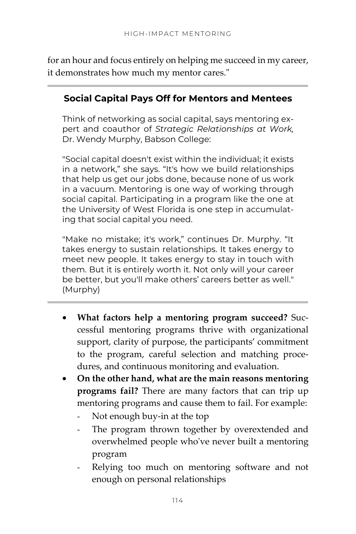for an hour and focus entirely on helping me succeed in my career, it demonstrates how much my mentor cares."

## **Social Capital Pays Off for Mentors and Mentees**

Think of networking as social capital, says mentoring expert and coauthor of *Strategic Relationships at Work,* Dr. Wendy Murphy, Babson College:

"Social capital doesn't exist within the individual; it exists in a network," she says. "It's how we build relationships that help us get our jobs done, because none of us work in a vacuum. Mentoring is one way of working through social capital. Participating in a program like the one at the University of West Florida is one step in accumulating that social capital you need.

"Make no mistake; it's work," continues Dr. Murphy. "It takes energy to sustain relationships. It takes energy to meet new people. It takes energy to stay in touch with them. But it is entirely worth it. Not only will your career be better, but you'll make others' careers better as well." (Murphy)

- **What factors help a mentoring program succeed?** Successful mentoring programs thrive with organizational support, clarity of purpose, the participants' commitment to the program, careful selection and matching procedures, and continuous monitoring and evaluation.
- **On the other hand, what are the main reasons mentoring programs fail?** There are many factors that can trip up mentoring programs and cause them to fail. For example:
	- Not enough buy-in at the top
	- The program thrown together by overextended and overwhelmed people who've never built a mentoring program
	- Relying too much on mentoring software and not enough on personal relationships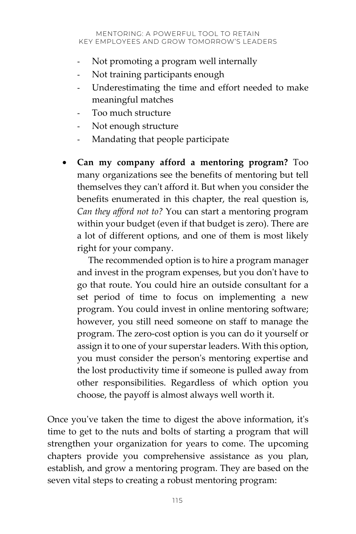- Not promoting a program well internally
- Not training participants enough
- Underestimating the time and effort needed to make meaningful matches
- Too much structure
- Not enough structure
- Mandating that people participate
- **Can my company afford a mentoring program?** Too many organizations see the benefits of mentoring but tell themselves they can't afford it. But when you consider the benefits enumerated in this chapter, the real question is, *Can they afford not to?* You can start a mentoring program within your budget (even if that budget is zero). There are a lot of different options, and one of them is most likely right for your company.

The recommended option is to hire a program manager and invest in the program expenses, but you don't have to go that route. You could hire an outside consultant for a set period of time to focus on implementing a new program. You could invest in online mentoring software; however, you still need someone on staff to manage the program. The zero-cost option is you can do it yourself or assign it to one of your superstar leaders. With this option, you must consider the person's mentoring expertise and the lost productivity time if someone is pulled away from other responsibilities. Regardless of which option you choose, the payoff is almost always well worth it.

Once you've taken the time to digest the above information, it's time to get to the nuts and bolts of starting a program that will strengthen your organization for years to come. The upcoming chapters provide you comprehensive assistance as you plan, establish, and grow a mentoring program. They are based on the seven vital steps to creating a robust mentoring program: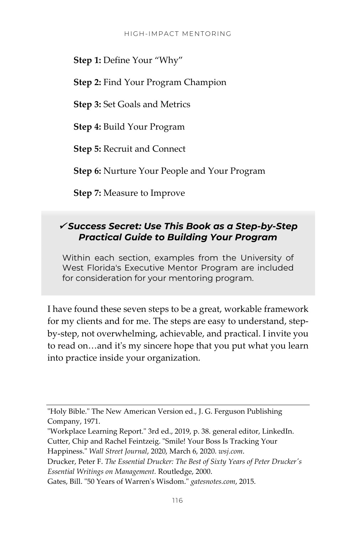**Step 1:** Define Your "Why"

**Step 2:** Find Your Program Champion

**Step 3:** Set Goals and Metrics

**Step 4:** Build Your Program

**Step 5:** Recruit and Connect

**Step 6:** Nurture Your People and Your Program

**Step 7:** Measure to Improve

#### *Success Secret: Use This Book as a Step-by-Step Practical Guide to Building Your Program*

Within each section, examples from the University of West Florida's Executive Mentor Program are included for consideration for your mentoring program.

I have found these seven steps to be a great, workable framework for my clients and for me. The steps are easy to understand, stepby-step, not overwhelming, achievable, and practical. I invite you to read on…and it's my sincere hope that you put what you learn into practice inside your organization.

<sup>&</sup>quot;Holy Bible." The New American Version ed., J. G. Ferguson Publishing Company, 1971.

<sup>&</sup>quot;Workplace Learning Report." 3rd ed., 2019, p. 38. general editor, LinkedIn. Cutter, Chip and Rachel Feintzeig. "Smile! Your Boss Is Tracking Your

Happiness." *Wall Street Journal*, 2020, March 6, 2020. *wsj.com*.

Drucker, Peter F. *The Essential Drucker: The Best of Sixty Years of Peter Drucker's Essential Writings on Management.* Routledge, 2000.

Gates, Bill. "50 Years of Warren's Wisdom." *gatesnotes.com*, 2015.